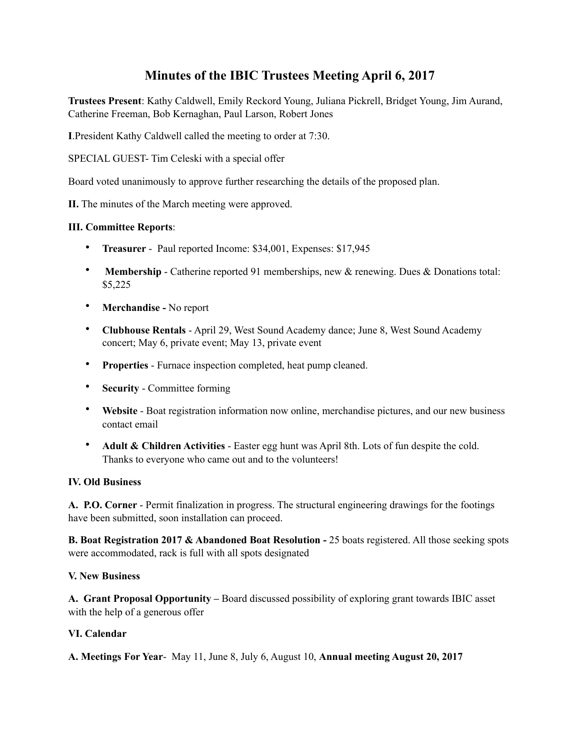# **Minutes of the IBIC Trustees Meeting April 6, 2017**

**Trustees Present**: Kathy Caldwell, Emily Reckord Young, Juliana Pickrell, Bridget Young, Jim Aurand, Catherine Freeman, Bob Kernaghan, Paul Larson, Robert Jones

**I**.President Kathy Caldwell called the meeting to order at 7:30.

SPECIAL GUEST- Tim Celeski with a special offer

Board voted unanimously to approve further researching the details of the proposed plan.

**II.** The minutes of the March meeting were approved.

## **III. Committee Reports**:

- **Treasurer**  Paul reported Income: \$34,001, Expenses: \$17,945
- **Membership**  Catherine reported 91 memberships, new & renewing. Dues & Donations total: \$5,225
- **Merchandise -** No report
- **Clubhouse Rentals**  April 29, West Sound Academy dance; June 8, West Sound Academy concert; May 6, private event; May 13, private event
- **Properties**  Furnace inspection completed, heat pump cleaned.
- **Security**  Committee forming
- **Website** Boat registration information now online, merchandise pictures, and our new business contact email
- **Adult & Children Activities**  Easter egg hunt was April 8th. Lots of fun despite the cold. Thanks to everyone who came out and to the volunteers!

#### **IV. Old Business**

**A. P.O. Corner** - Permit finalization in progress. The structural engineering drawings for the footings have been submitted, soon installation can proceed.

**B. Boat Registration 2017 & Abandoned Boat Resolution -** 25 boats registered. All those seeking spots were accommodated, rack is full with all spots designated

#### **V. New Business**

**A. Grant Proposal Opportunity –** Board discussed possibility of exploring grant towards IBIC asset with the help of a generous offer

## **VI. Calendar**

**A. Meetings For Year**- May 11, June 8, July 6, August 10, **Annual meeting August 20, 2017**